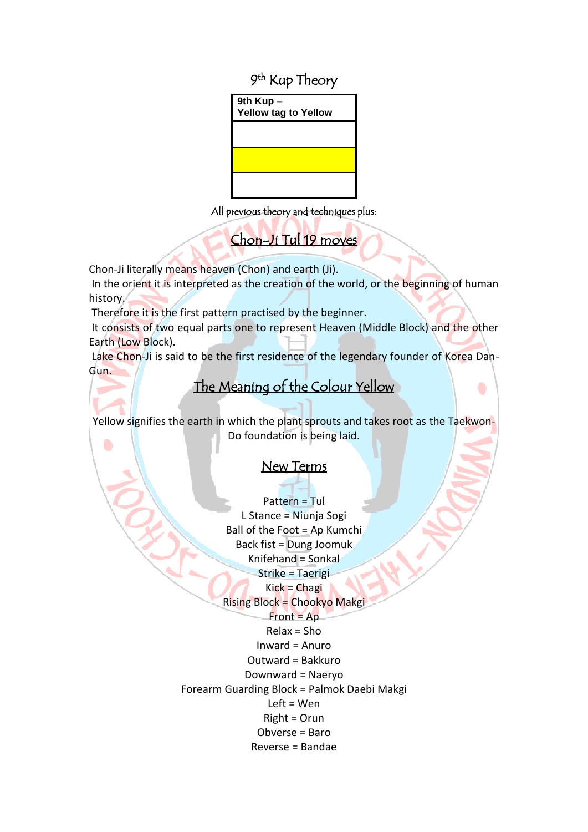9<sup>th</sup> Kup Theory



All previous theory and techniques plus:

Chon-Ji Tul 19 moves

Chon-Ji literally means heaven (Chon) and earth (Ji).

In the orient it is interpreted as the creation of the world, or the beginning of human history.

Therefore it is the first pattern practised by the beginner.

It consists of two equal parts one to represent Heaven (Middle Block) and the other Earth (Low Block).

Lake Chon-Ji is said to be the first residence of the legendary founder of Korea Dan-Gun.

## The Meaning of the Colour Yellow j

۰

Yellow signifies the earth in which the plant sprouts and takes root as the Taekwon-Do foundation is being laid. ۰

## New Terms

l Pattern = Tul L Stance = Niunja Sogi Ball of the Foot  $=$  Ap Kumchi Back fist = Dung Joomuk  $Knifehand = Sonkal$ Strike = Taerigi Kick = Chagi Rising Block = Chookyo Makgi  $Front = Ap$ Relax = Sho Inward = Anuro Outward = Bakkuro Downward = Naeryo Forearm Guarding Block = Palmok Daebi Makgi Left = Wen Right = Orun Obverse = Baro Reverse = Bandae